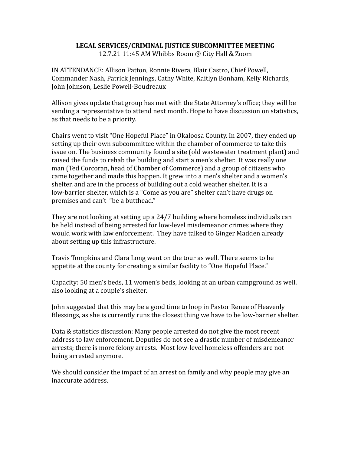## **LEGAL SERVICES/CRIMINAL JUSTICE SUBCOMMITTEE MEETING**

12.7.21 11:45 AM Whibbs Room @ City Hall & Zoom

IN ATTENDANCE: Allison Patton, Ronnie Rivera, Blair Castro, Chief Powell, Commander Nash, Patrick Jennings, Cathy White, Kaitlyn Bonham, Kelly Richards, John Johnson, Leslie Powell-Boudreaux

Allison gives update that group has met with the State Attorney's office; they will be sending a representative to attend next month. Hope to have discussion on statistics, as that needs to be a priority.

Chairs went to visit "One Hopeful Place" in Okaloosa County. In 2007, they ended up setting up their own subcommittee within the chamber of commerce to take this issue on. The business community found a site (old wastewater treatment plant) and raised the funds to rehab the building and start a men's shelter. It was really one man (Ted Corcoran, head of Chamber of Commerce) and a group of citizens who came together and made this happen. It grew into a men's shelter and a women's shelter, and are in the process of building out a cold weather shelter. It is a low-barrier shelter, which is a "Come as you are" shelter can't have drugs on premises and can't "be a butthead."

They are not looking at setting up a 24/7 building where homeless individuals can be held instead of being arrested for low-level misdemeanor crimes where they would work with law enforcement. They have talked to Ginger Madden already about setting up this infrastructure.

Travis Tompkins and Clara Long went on the tour as well. There seems to be appetite at the county for creating a similar facility to "One Hopeful Place."

Capacity: 50 men's beds, 11 women's beds, looking at an urban campground as well. also looking at a couple's shelter.

John suggested that this may be a good time to loop in Pastor Renee of Heavenly Blessings, as she is currently runs the closest thing we have to be low-barrier shelter.

Data & statistics discussion: Many people arrested do not give the most recent address to law enforcement. Deputies do not see a drastic number of misdemeanor arrests; there is more felony arrests. Most low-level homeless offenders are not being arrested anymore.

We should consider the impact of an arrest on family and why people may give an inaccurate address.